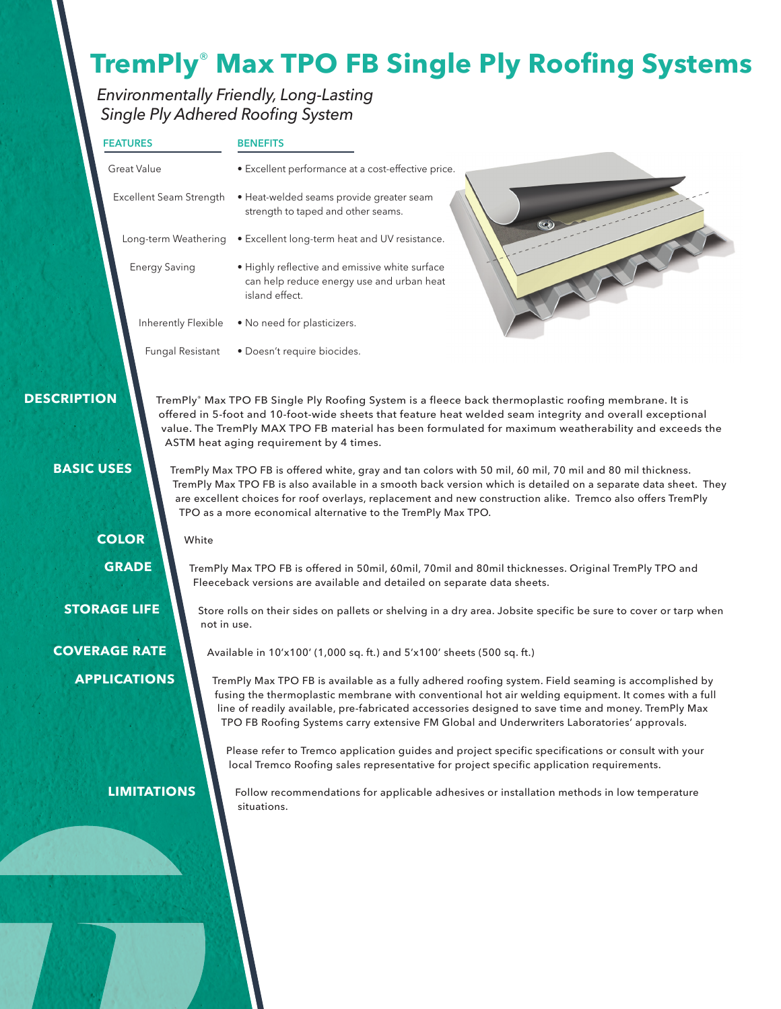## **TremPly**® **Max TPO FB Single Ply Roofing Systems**

### *Environmentally Friendly, Long-Lasting Single Ply Adhered Roofing System*

| <b>FEATURES</b>                                                                                                                                                                                                                                                                                                                                                                                                                  |                  | <b>BENEFITS</b>                                                                                                                                                                                                                                                                                                                                                                                                |  |  |  |  |
|----------------------------------------------------------------------------------------------------------------------------------------------------------------------------------------------------------------------------------------------------------------------------------------------------------------------------------------------------------------------------------------------------------------------------------|------------------|----------------------------------------------------------------------------------------------------------------------------------------------------------------------------------------------------------------------------------------------------------------------------------------------------------------------------------------------------------------------------------------------------------------|--|--|--|--|
| <b>Great Value</b>                                                                                                                                                                                                                                                                                                                                                                                                               |                  | • Excellent performance at a cost-effective price.                                                                                                                                                                                                                                                                                                                                                             |  |  |  |  |
| Excellent Seam Strength                                                                                                                                                                                                                                                                                                                                                                                                          |                  | · Heat-welded seams provide greater seam<br>strength to taped and other seams.                                                                                                                                                                                                                                                                                                                                 |  |  |  |  |
| Long-term Weathering                                                                                                                                                                                                                                                                                                                                                                                                             |                  | • Excellent long-term heat and UV resistance.                                                                                                                                                                                                                                                                                                                                                                  |  |  |  |  |
| <b>Energy Saving</b>                                                                                                                                                                                                                                                                                                                                                                                                             |                  | · Highly reflective and emissive white surface<br>can help reduce energy use and urban heat<br>island effect.                                                                                                                                                                                                                                                                                                  |  |  |  |  |
| Inherently Flexible                                                                                                                                                                                                                                                                                                                                                                                                              |                  | • No need for plasticizers.                                                                                                                                                                                                                                                                                                                                                                                    |  |  |  |  |
|                                                                                                                                                                                                                                                                                                                                                                                                                                  | Fungal Resistant | · Doesn't require biocides.                                                                                                                                                                                                                                                                                                                                                                                    |  |  |  |  |
| <b>DESCRIPTION</b>                                                                                                                                                                                                                                                                                                                                                                                                               |                  | TremPly® Max TPO FB Single Ply Roofing System is a fleece back thermoplastic roofing membrane. It is<br>offered in 5-foot and 10-foot-wide sheets that feature heat welded seam integrity and overall exceptional<br>value. The TremPly MAX TPO FB material has been formulated for maximum weatherability and exceeds the<br>ASTM heat aging requirement by 4 times.                                          |  |  |  |  |
| <b>BASIC USES</b><br>TremPly Max TPO FB is offered white, gray and tan colors with 50 mil, 60 mil, 70 mil and 80 mil thickness.<br>TremPly Max TPO FB is also available in a smooth back version which is detailed on a separate data sheet. They<br>are excellent choices for roof overlays, replacement and new construction alike. Tremco also offers TremPly<br>TPO as a more economical alternative to the TremPly Max TPO. |                  |                                                                                                                                                                                                                                                                                                                                                                                                                |  |  |  |  |
| <b>COLOR</b>                                                                                                                                                                                                                                                                                                                                                                                                                     | White            |                                                                                                                                                                                                                                                                                                                                                                                                                |  |  |  |  |
| <b>GRADE</b>                                                                                                                                                                                                                                                                                                                                                                                                                     |                  | TremPly Max TPO FB is offered in 50mil, 60mil, 70mil and 80mil thicknesses. Original TremPly TPO and<br>Fleeceback versions are available and detailed on separate data sheets.                                                                                                                                                                                                                                |  |  |  |  |
| <b>STORAGE LIFE</b>                                                                                                                                                                                                                                                                                                                                                                                                              | not in use.      | Store rolls on their sides on pallets or shelving in a dry area. Jobsite specific be sure to cover or tarp when                                                                                                                                                                                                                                                                                                |  |  |  |  |
| <b>COVERAGE RATE</b>                                                                                                                                                                                                                                                                                                                                                                                                             |                  | Available in 10'x100' (1,000 sq. ft.) and 5'x100' sheets (500 sq. ft.)                                                                                                                                                                                                                                                                                                                                         |  |  |  |  |
| <b>APPLICATIONS</b>                                                                                                                                                                                                                                                                                                                                                                                                              |                  | TremPly Max TPO FB is available as a fully adhered roofing system. Field seaming is accomplished by<br>fusing the thermoplastic membrane with conventional hot air welding equipment. It comes with a full<br>line of readily available, pre-fabricated accessories designed to save time and money. TremPly Max<br>TPO FB Roofing Systems carry extensive FM Global and Underwriters Laboratories' approvals. |  |  |  |  |
|                                                                                                                                                                                                                                                                                                                                                                                                                                  |                  | Please refer to Tremco application guides and project specific specifications or consult with your<br>local Tremco Roofing sales representative for project specific application requirements.                                                                                                                                                                                                                 |  |  |  |  |
| <b>LIMITATIONS</b>                                                                                                                                                                                                                                                                                                                                                                                                               |                  | Follow recommendations for applicable adhesives or installation methods in low temperature<br>situations.                                                                                                                                                                                                                                                                                                      |  |  |  |  |
|                                                                                                                                                                                                                                                                                                                                                                                                                                  |                  |                                                                                                                                                                                                                                                                                                                                                                                                                |  |  |  |  |